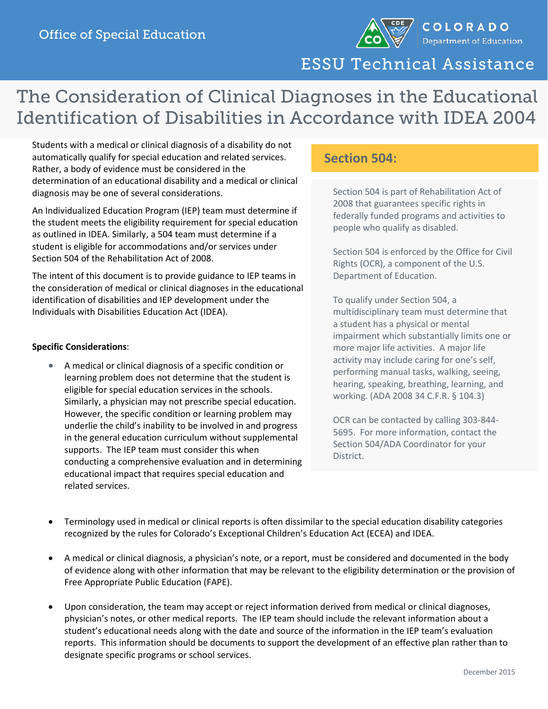

COLORADO Department of Education

ESSU Technical Assistance

## The Consideration of Clinical Diagnoses in the Educational Identification of Disabilities in Accordance with IDEA 2004

Students with a medical or clinical diagnosis of a disability do not automatically qualify for special education and related services. Rather, a body of evidence must be considered in the determination of an educational disability and a medical or clinical diagnosis may be one of several considerations.

An Individualized Education Program (IEP) team must determine if the student meets the eligibility requirement for special education as outlined in IDEA. Similarly, a 504 team must determine if a student is eligible for accommodations and/or services under Section 504 of the Rehabilitation Act of 2008.

The intent of this document is to provide guidance to IEP teams in the consideration of medical or clinical diagnoses in the educational identification of disabilities and IEP development under the Individuals with Disabilities Education Act (IDEA).

## **Specific Considerations**:

• A medical or clinical diagnosis of a specific condition or learning problem does not determine that the student is eligible for special education services in the schools. Similarly, a physician may not prescribe special education. However, the specific condition or learning problem may underlie the child's inability to be involved in and progress in the general education curriculum without supplemental supports. The IEP team must consider this when conducting a comprehensive evaluation and in determining educational impact that requires special education and related services.

## **Section 504:**

Section 504 is part of Rehabilitation Act of 2008 that guarantees specific rights in federally funded programs and activities to people who qualify as disabled.

Section 504 is enforced by the Office for Civil Rights (OCR), a component of the U.S. Department of Education.

To qualify under Section 504, a multidisciplinary team must determine that a student has a physical or mental impairment which substantially limits one or more major life activities. A major life activity may include caring for one's self, performing manual tasks, walking, seeing, hearing, speaking, breathing, learning, and working. (ADA 2008 34 C.F.R. § 104.3)

OCR can be contacted by calling 303-844- 5695. For more information, contact the Section 504/ADA Coordinator for your District.

- Terminology used in medical or clinical reports is often dissimilar to the special education disability categories recognized by the rules for Colorado's Exceptional Children's Education Act (ECEA) and IDEA.
- A medical or clinical diagnosis, a physician's note, or a report, must be considered and documented in the body of evidence along with other information that may be relevant to the eligibility determination or the provision of Free Appropriate Public Education (FAPE).
- Upon consideration, the team may accept or reject information derived from medical or clinical diagnoses, physician's notes, or other medical reports. The IEP team should include the relevant information about a student's educational needs along with the date and source of the information in the IEP team's evaluation reports. This information should be documents to support the development of an effective plan rather than to designate specific programs or school services.